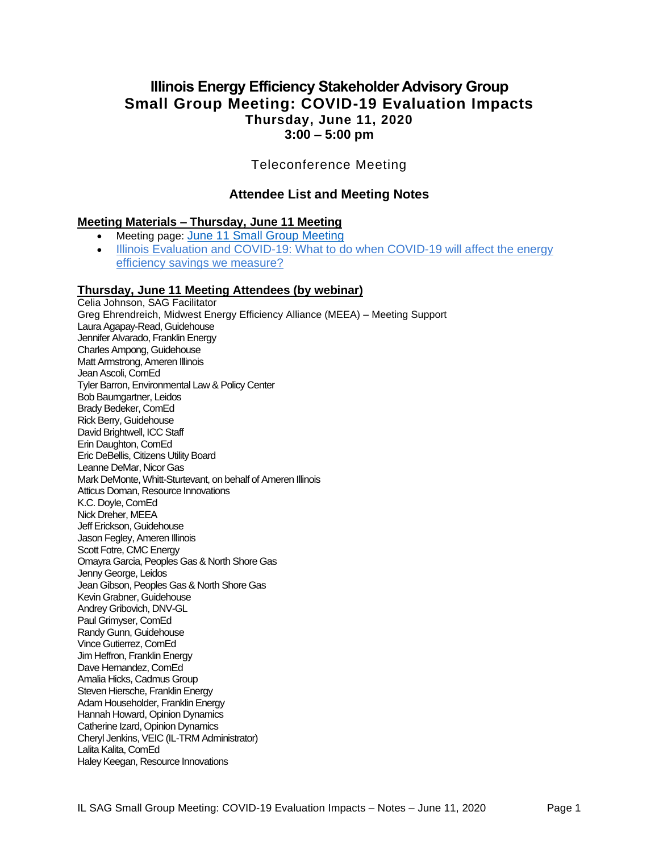# **Illinois Energy Efficiency Stakeholder Advisory Group Small Group Meeting: COVID-19 Evaluation Impacts Thursday, June 11, 2020 3:00 – 5:00 pm**

## Teleconference Meeting

## **Attendee List and Meeting Notes**

### **Meeting Materials – Thursday, June 11 Meeting**

• Meeting page: [June 11 Small Group Meeting](https://www.ilsag.info/event/thursday-june-11-small-group-sag-meeting/) Illinois Evaluation and COVID-19: What to do when COVID-19 will affect the energy [efficiency savings we measure?](https://s3.amazonaws.com/ilsag/SAG-Meeting-Eval-and-COVID-2020-06-11-Presentation.pdf)

#### **Thursday, June 11 Meeting Attendees (by webinar)**

Celia Johnson, SAG Facilitator Greg Ehrendreich, Midwest Energy Efficiency Alliance (MEEA) – Meeting Support Laura Agapay-Read, Guidehouse Jennifer Alvarado, Franklin Energy Charles Ampong, Guidehouse Matt Armstrong, Ameren Illinois Jean Ascoli, ComEd Tyler Barron, Environmental Law & Policy Center Bob Baumgartner, Leidos Brady Bedeker, ComEd Rick Berry, Guidehouse David Brightwell, ICC Staff Erin Daughton, ComEd Eric DeBellis, Citizens Utility Board Leanne DeMar, Nicor Gas Mark DeMonte, Whitt-Sturtevant, on behalf of Ameren Illinois Atticus Doman, Resource Innovations K.C. Doyle, ComEd Nick Dreher, MEEA Jeff Erickson, Guidehouse Jason Fegley, Ameren Illinois Scott Fotre, CMC Energy Omayra Garcia, Peoples Gas & North Shore Gas Jenny George, Leidos Jean Gibson, Peoples Gas & North Shore Gas Kevin Grabner, Guidehouse Andrey Gribovich, DNV-GL Paul Grimyser, ComEd Randy Gunn, Guidehouse Vince Gutierrez, ComEd Jim Heffron, Franklin Energy Dave Hernandez, ComEd Amalia Hicks, Cadmus Group Steven Hiersche, Franklin Energy Adam Householder, Franklin Energy Hannah Howard, Opinion Dynamics Catherine Izard, Opinion Dynamics Cheryl Jenkins, VEIC (IL-TRM Administrator) Lalita Kalita, ComEd Haley Keegan, Resource Innovations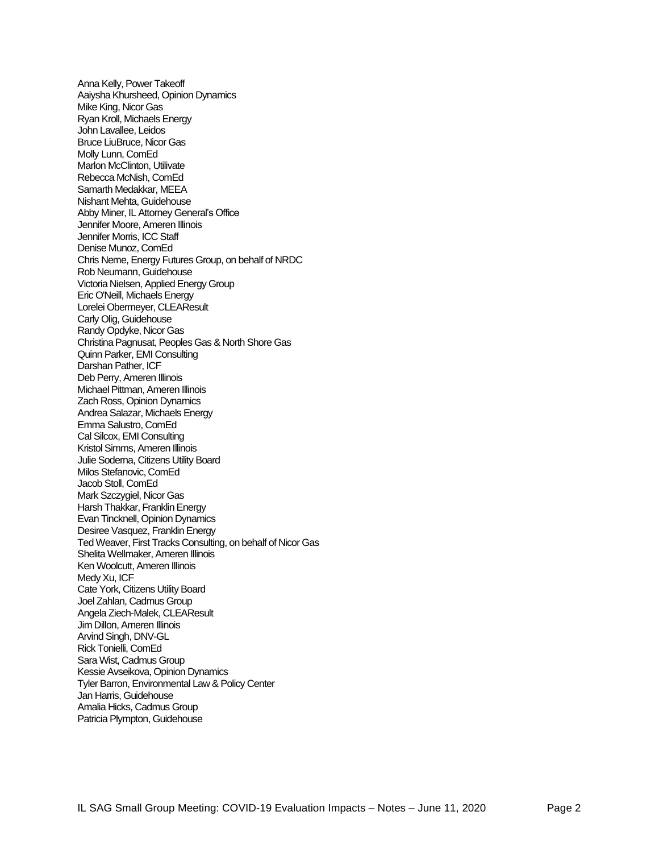Anna Kelly, Power Takeoff Aaiysha Khursheed, Opinion Dynamics Mike King, Nicor Gas Ryan Kroll, Michaels Energy John Lavallee, Leidos Bruce LiuBruce, Nicor Gas Molly Lunn, ComEd Marlon McClinton, Utilivate Rebecca McNish, ComEd Samarth Medakkar, MEEA Nishant Mehta, Guidehouse Abby Miner, IL Attorney General's Office Jennifer Moore, Ameren Illinois Jennifer Morris, ICC Staff Denise Munoz, ComEd Chris Neme, Energy Futures Group, on behalf of NRDC Rob Neumann, Guidehouse Victoria Nielsen, Applied Energy Group Eric O'Neill, Michaels Energy Lorelei Obermeyer, CLEAResult Carly Olig, Guidehouse Randy Opdyke, Nicor Gas Christina Pagnusat, Peoples Gas & North Shore Gas Quinn Parker, EMI Consulting Darshan Pather, ICF Deb Perry, Ameren Illinois Michael Pittman, Ameren Illinois Zach Ross, Opinion Dynamics Andrea Salazar, Michaels Energy Emma Salustro, ComEd Cal Silcox, EMI Consulting Kristol Simms, Ameren Illinois Julie Soderna, Citizens Utility Board Milos Stefanovic, ComEd Jacob Stoll, ComEd Mark Szczygiel, Nicor Gas Harsh Thakkar, Franklin Energy Evan Tincknell, Opinion Dynamics Desiree Vasquez, Franklin Energy Ted Weaver, First Tracks Consulting, on behalf of Nicor Gas Shelita Wellmaker, Ameren Illinois Ken Woolcutt, Ameren Illinois Medy Xu, ICF Cate York, Citizens Utility Board Joel Zahlan, Cadmus Group Angela Ziech-Malek, CLEAResult Jim Dillon, Ameren Illinois Arvind Singh, DNV-GL Rick Tonielli, ComEd Sara Wist, Cadmus Group Kessie Avseikova, Opinion Dynamics Tyler Barron, Environmental Law & Policy Center Jan Harris, Guidehouse Amalia Hicks, Cadmus Group Patricia Plympton, Guidehouse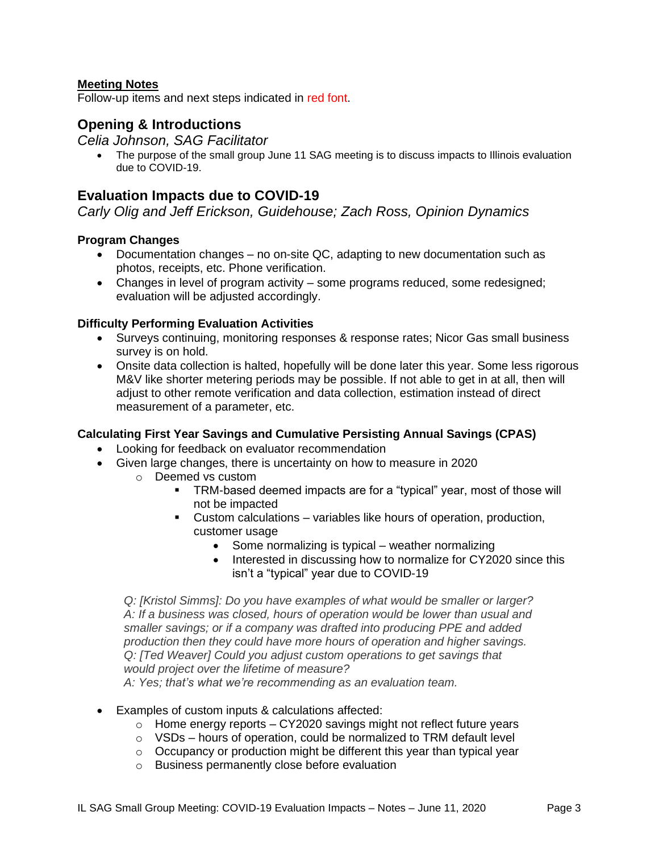### **Meeting Notes**

Follow-up items and next steps indicated in red font.

## **Opening & Introductions**

### *Celia Johnson, SAG Facilitator*

• The purpose of the small group June 11 SAG meeting is to discuss impacts to Illinois evaluation due to COVID-19.

## **Evaluation Impacts due to COVID-19**

*Carly Olig and Jeff Erickson, Guidehouse; Zach Ross, Opinion Dynamics*

### **Program Changes**

- Documentation changes no on-site QC, adapting to new documentation such as photos, receipts, etc. Phone verification.
- Changes in level of program activity some programs reduced, some redesigned; evaluation will be adjusted accordingly.

### **Difficulty Performing Evaluation Activities**

- Surveys continuing, monitoring responses & response rates; Nicor Gas small business survey is on hold.
- Onsite data collection is halted, hopefully will be done later this year. Some less rigorous M&V like shorter metering periods may be possible. If not able to get in at all, then will adjust to other remote verification and data collection, estimation instead of direct measurement of a parameter, etc.

### **Calculating First Year Savings and Cumulative Persisting Annual Savings (CPAS)**

- Looking for feedback on evaluator recommendation
- Given large changes, there is uncertainty on how to measure in 2020
	- o Deemed vs custom
		- TRM-based deemed impacts are for a "typical" year, most of those will not be impacted
		- Custom calculations variables like hours of operation, production, customer usage
			- Some normalizing is typical weather normalizing
			- Interested in discussing how to normalize for CY2020 since this isn't a "typical" year due to COVID-19

*Q: [Kristol Simms]: Do you have examples of what would be smaller or larger? A: If a business was closed, hours of operation would be lower than usual and smaller savings; or if a company was drafted into producing PPE and added production then they could have more hours of operation and higher savings. Q: [Ted Weaver] Could you adjust custom operations to get savings that would project over the lifetime of measure?*

*A: Yes; that's what we're recommending as an evaluation team.*

- Examples of custom inputs & calculations affected:
	- $\circ$  Home energy reports CY2020 savings might not reflect future years
	- $\circ$  VSDs hours of operation, could be normalized to TRM default level
	- o Occupancy or production might be different this year than typical year
	- o Business permanently close before evaluation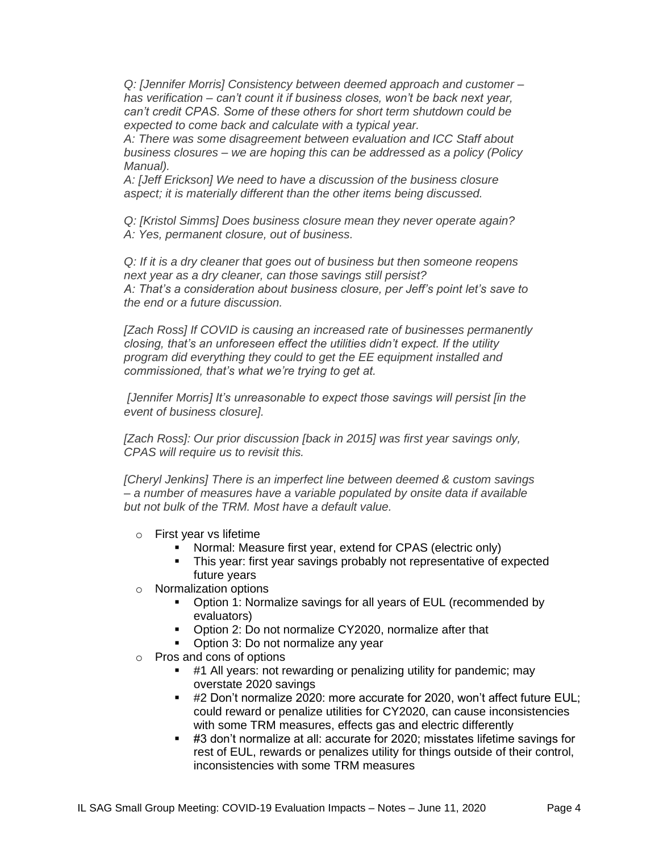*Q: [Jennifer Morris] Consistency between deemed approach and customer – has verification – can't count it if business closes, won't be back next year, can't credit CPAS. Some of these others for short term shutdown could be expected to come back and calculate with a typical year.*

*A: There was some disagreement between evaluation and ICC Staff about business closures – we are hoping this can be addressed as a policy (Policy Manual).*

*A: [Jeff Erickson] We need to have a discussion of the business closure aspect; it is materially different than the other items being discussed.*

*Q: [Kristol Simms] Does business closure mean they never operate again? A: Yes, permanent closure, out of business.*

*Q: If it is a dry cleaner that goes out of business but then someone reopens next year as a dry cleaner, can those savings still persist? A: That's a consideration about business closure, per Jeff's point let's save to the end or a future discussion.*

*[Zach Ross] If COVID is causing an increased rate of businesses permanently closing, that's an unforeseen effect the utilities didn't expect. If the utility program did everything they could to get the EE equipment installed and commissioned, that's what we're trying to get at.*

*[Jennifer Morris] It's unreasonable to expect those savings will persist [in the event of business closure].*

*[Zach Ross]: Our prior discussion [back in 2015] was first year savings only, CPAS will require us to revisit this.*

*[Cheryl Jenkins] There is an imperfect line between deemed & custom savings – a number of measures have a variable populated by onsite data if available but not bulk of the TRM. Most have a default value.*

- o First year vs lifetime
	- Normal: Measure first year, extend for CPAS (electric only)
	- **This year: first year savings probably not representative of expected** future years
- o Normalization options
	- Option 1: Normalize savings for all years of EUL (recommended by evaluators)
	- Option 2: Do not normalize CY2020, normalize after that
	- Option 3: Do not normalize any year
- o Pros and cons of options
	- #1 All years: not rewarding or penalizing utility for pandemic; may overstate 2020 savings
	- #2 Don't normalize 2020: more accurate for 2020, won't affect future EUL; could reward or penalize utilities for CY2020, can cause inconsistencies with some TRM measures, effects gas and electric differently
	- #3 don't normalize at all: accurate for 2020; misstates lifetime savings for rest of EUL, rewards or penalizes utility for things outside of their control, inconsistencies with some TRM measures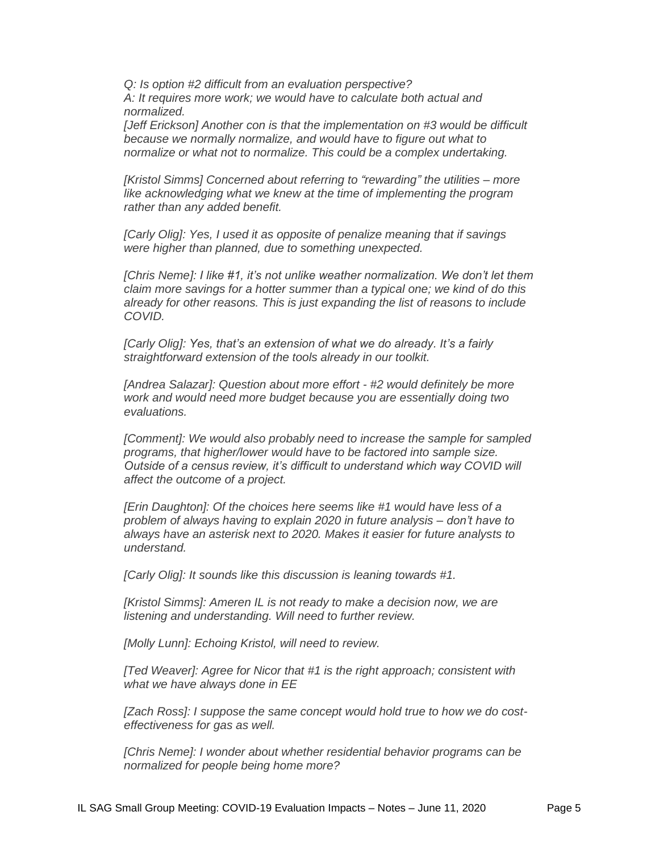*Q: Is option #2 difficult from an evaluation perspective? A: It requires more work; we would have to calculate both actual and normalized.*

*[Jeff Erickson] Another con is that the implementation on #3 would be difficult because we normally normalize, and would have to figure out what to normalize or what not to normalize. This could be a complex undertaking.*

*[Kristol Simms] Concerned about referring to "rewarding" the utilities – more like acknowledging what we knew at the time of implementing the program rather than any added benefit.* 

*[Carly Olig]: Yes, I used it as opposite of penalize meaning that if savings were higher than planned, due to something unexpected.*

*[Chris Neme]: I like #1, it's not unlike weather normalization. We don't let them claim more savings for a hotter summer than a typical one; we kind of do this already for other reasons. This is just expanding the list of reasons to include COVID.*

*[Carly Olig]: Yes, that's an extension of what we do already. It's a fairly straightforward extension of the tools already in our toolkit.*

*[Andrea Salazar]: Question about more effort - #2 would definitely be more work and would need more budget because you are essentially doing two evaluations.*

*[Comment]:* We would also probably need to increase the sample for sampled *programs, that higher/lower would have to be factored into sample size. Outside of a census review, it's difficult to understand which way COVID will affect the outcome of a project.*

*[Erin Daughton]: Of the choices here seems like #1 would have less of a problem of always having to explain 2020 in future analysis – don't have to always have an asterisk next to 2020. Makes it easier for future analysts to understand.*

*[Carly Olig]: It sounds like this discussion is leaning towards #1.*

*[Kristol Simms]: Ameren IL is not ready to make a decision now, we are listening and understanding. Will need to further review.*

*[Molly Lunn]: Echoing Kristol, will need to review.*

*[Ted Weaver]: Agree for Nicor that #1 is the right approach; consistent with what we have always done in EE*

*[Zach Ross]: I suppose the same concept would hold true to how we do costeffectiveness for gas as well.*

*[Chris Neme]: I wonder about whether residential behavior programs can be normalized for people being home more?*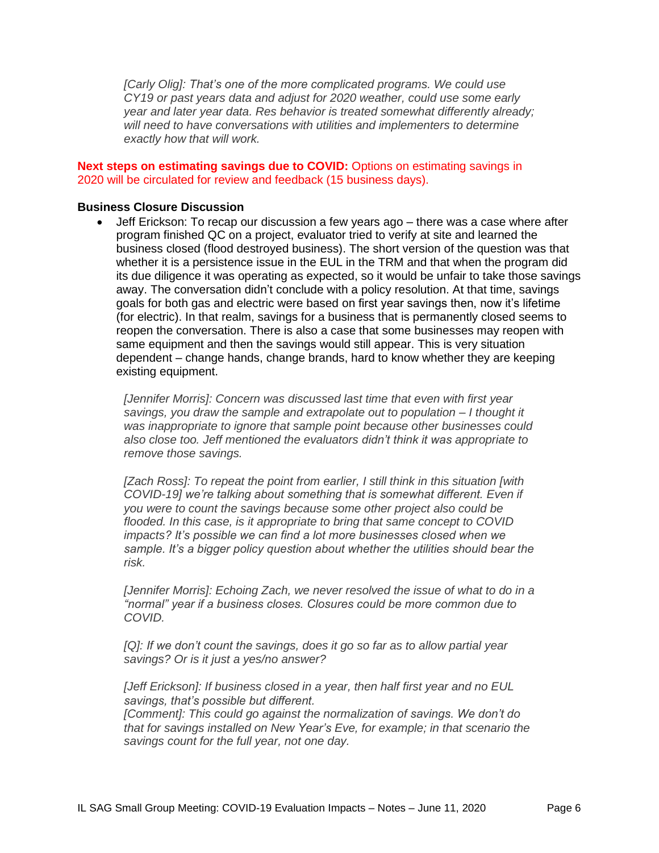*[Carly Olig]: That's one of the more complicated programs. We could use CY19 or past years data and adjust for 2020 weather, could use some early year and later year data. Res behavior is treated somewhat differently already; will need to have conversations with utilities and implementers to determine exactly how that will work.*

### **Next steps on estimating savings due to COVID:** Options on estimating savings in 2020 will be circulated for review and feedback (15 business days).

### **Business Closure Discussion**

• Jeff Erickson: To recap our discussion a few years ago – there was a case where after program finished QC on a project, evaluator tried to verify at site and learned the business closed (flood destroyed business). The short version of the question was that whether it is a persistence issue in the EUL in the TRM and that when the program did its due diligence it was operating as expected, so it would be unfair to take those savings away. The conversation didn't conclude with a policy resolution. At that time, savings goals for both gas and electric were based on first year savings then, now it's lifetime (for electric). In that realm, savings for a business that is permanently closed seems to reopen the conversation. There is also a case that some businesses may reopen with same equipment and then the savings would still appear. This is very situation dependent – change hands, change brands, hard to know whether they are keeping existing equipment.

*[Jennifer Morris]: Concern was discussed last time that even with first year savings, you draw the sample and extrapolate out to population – I thought it was inappropriate to ignore that sample point because other businesses could also close too. Jeff mentioned the evaluators didn't think it was appropriate to remove those savings.* 

*[Zach Ross]: To repeat the point from earlier, I still think in this situation [with COVID-19] we're talking about something that is somewhat different. Even if you were to count the savings because some other project also could be flooded. In this case, is it appropriate to bring that same concept to COVID impacts? It's possible we can find a lot more businesses closed when we sample. It's a bigger policy question about whether the utilities should bear the risk.*

*[Jennifer Morris]: Echoing Zach, we never resolved the issue of what to do in a "normal" year if a business closes. Closures could be more common due to COVID.*

*[Q]: If we don't count the savings, does it go so far as to allow partial year savings? Or is it just a yes/no answer?*

*[Jeff Erickson]: If business closed in a year, then half first year and no EUL savings, that's possible but different.*

*[Comment]: This could go against the normalization of savings. We don't do that for savings installed on New Year's Eve, for example; in that scenario the savings count for the full year, not one day.*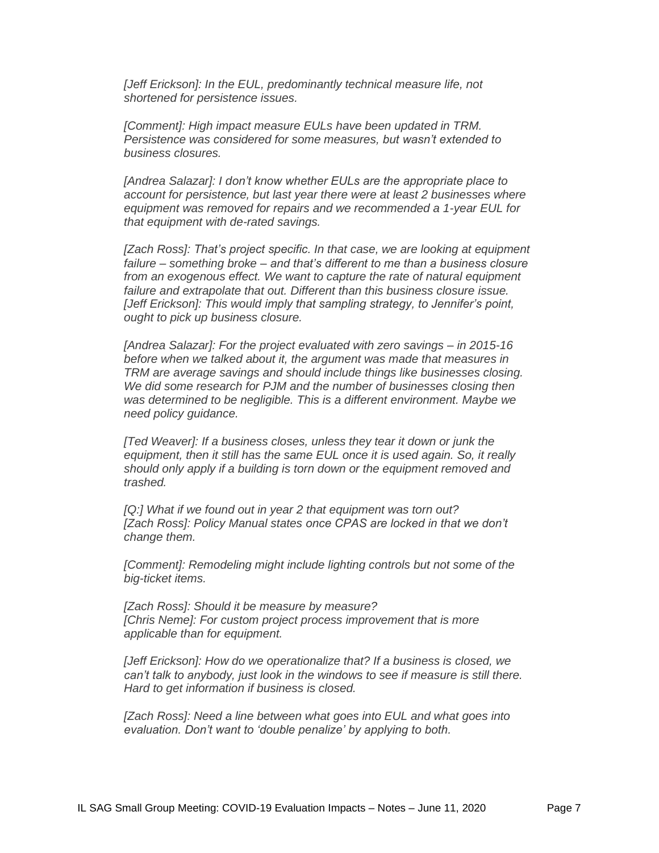*[Jeff Erickson]: In the EUL, predominantly technical measure life, not shortened for persistence issues.*

*[Comment]: High impact measure EULs have been updated in TRM. Persistence was considered for some measures, but wasn't extended to business closures.* 

*[Andrea Salazar]: I don't know whether EULs are the appropriate place to account for persistence, but last year there were at least 2 businesses where equipment was removed for repairs and we recommended a 1-year EUL for that equipment with de-rated savings.* 

*[Zach Ross]: That's project specific. In that case, we are looking at equipment failure – something broke – and that's different to me than a business closure from an exogenous effect. We want to capture the rate of natural equipment failure and extrapolate that out. Different than this business closure issue. [Jeff Erickson]: This would imply that sampling strategy, to Jennifer's point, ought to pick up business closure.* 

*[Andrea Salazar]: For the project evaluated with zero savings – in 2015-16 before when we talked about it, the argument was made that measures in TRM are average savings and should include things like businesses closing. We did some research for PJM and the number of businesses closing then was determined to be negligible. This is a different environment. Maybe we need policy guidance.*

*[Ted Weaver]: If a business closes, unless they tear it down or junk the equipment, then it still has the same EUL once it is used again. So, it really should only apply if a building is torn down or the equipment removed and trashed.* 

*[Q:] What if we found out in year 2 that equipment was torn out? [Zach Ross]: Policy Manual states once CPAS are locked in that we don't change them.* 

*[Comment]: Remodeling might include lighting controls but not some of the big-ticket items.*

*[Zach Ross]: Should it be measure by measure? [Chris Neme]: For custom project process improvement that is more applicable than for equipment.*

*[Jeff Erickson]: How do we operationalize that? If a business is closed, we can't talk to anybody, just look in the windows to see if measure is still there. Hard to get information if business is closed.*

*[Zach Ross]: Need a line between what goes into EUL and what goes into evaluation. Don't want to 'double penalize' by applying to both.*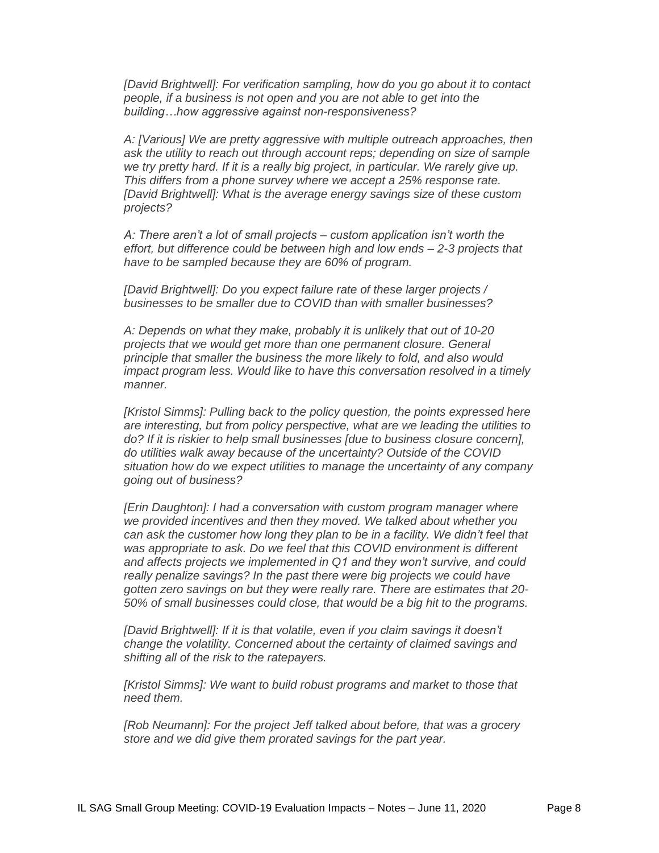*[David Brightwell]: For verification sampling, how do you go about it to contact people, if a business is not open and you are not able to get into the building…how aggressive against non-responsiveness?*

*A: [Various] We are pretty aggressive with multiple outreach approaches, then ask the utility to reach out through account reps; depending on size of sample we try pretty hard. If it is a really big project, in particular. We rarely give up. This differs from a phone survey where we accept a 25% response rate. [David Brightwell]: What is the average energy savings size of these custom projects?*

*A: There aren't a lot of small projects – custom application isn't worth the effort, but difference could be between high and low ends – 2-3 projects that have to be sampled because they are 60% of program.*

*[David Brightwell]: Do you expect failure rate of these larger projects / businesses to be smaller due to COVID than with smaller businesses?*

*A: Depends on what they make, probably it is unlikely that out of 10-20 projects that we would get more than one permanent closure. General principle that smaller the business the more likely to fold, and also would impact program less. Would like to have this conversation resolved in a timely manner.*

*[Kristol Simms]: Pulling back to the policy question, the points expressed here are interesting, but from policy perspective, what are we leading the utilities to do? If it is riskier to help small businesses [due to business closure concern], do utilities walk away because of the uncertainty? Outside of the COVID situation how do we expect utilities to manage the uncertainty of any company going out of business?* 

*[Erin Daughton]: I had a conversation with custom program manager where we provided incentives and then they moved. We talked about whether you can ask the customer how long they plan to be in a facility. We didn't feel that was appropriate to ask. Do we feel that this COVID environment is different and affects projects we implemented in Q1 and they won't survive, and could really penalize savings? In the past there were big projects we could have gotten zero savings on but they were really rare. There are estimates that 20- 50% of small businesses could close, that would be a big hit to the programs.*

*[David Brightwell]: If it is that volatile, even if you claim savings it doesn't change the volatility. Concerned about the certainty of claimed savings and shifting all of the risk to the ratepayers.*

*[Kristol Simms]: We want to build robust programs and market to those that need them.*

*[Rob Neumann]: For the project Jeff talked about before, that was a grocery store and we did give them prorated savings for the part year.*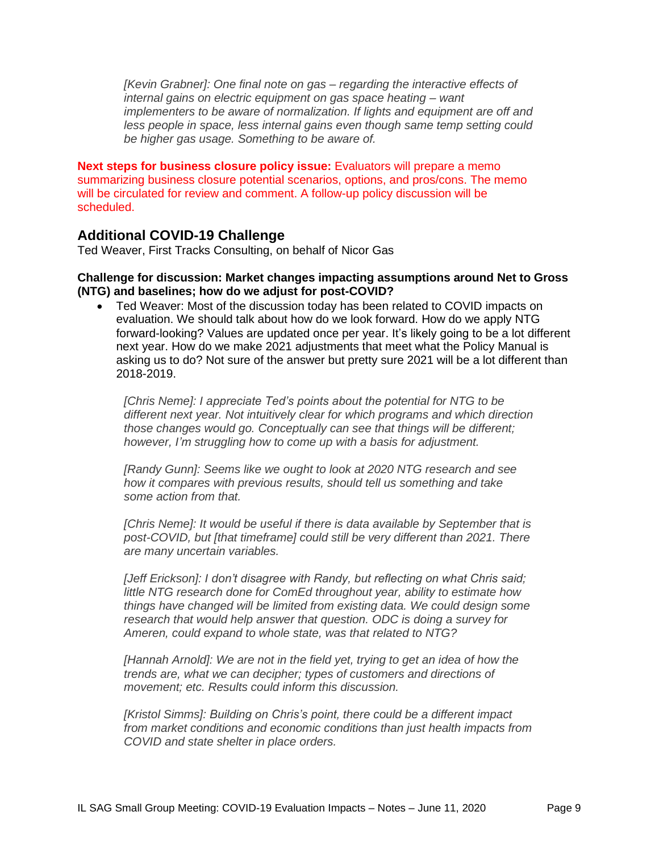*[Kevin Grabner]: One final note on gas – regarding the interactive effects of internal gains on electric equipment on gas space heating – want implementers to be aware of normalization. If lights and equipment are off and less people in space, less internal gains even though same temp setting could be higher gas usage. Something to be aware of.* 

**Next steps for business closure policy issue:** Evaluators will prepare a memo summarizing business closure potential scenarios, options, and pros/cons. The memo will be circulated for review and comment. A follow-up policy discussion will be scheduled.

## **Additional COVID-19 Challenge**

Ted Weaver, First Tracks Consulting, on behalf of Nicor Gas

#### **Challenge for discussion: Market changes impacting assumptions around Net to Gross (NTG) and baselines; how do we adjust for post-COVID?**

• Ted Weaver: Most of the discussion today has been related to COVID impacts on evaluation. We should talk about how do we look forward. How do we apply NTG forward-looking? Values are updated once per year. It's likely going to be a lot different next year. How do we make 2021 adjustments that meet what the Policy Manual is asking us to do? Not sure of the answer but pretty sure 2021 will be a lot different than 2018-2019.

*[Chris Neme]: I appreciate Ted's points about the potential for NTG to be different next year. Not intuitively clear for which programs and which direction those changes would go. Conceptually can see that things will be different; however, I'm struggling how to come up with a basis for adjustment.*

*[Randy Gunn]: Seems like we ought to look at 2020 NTG research and see how it compares with previous results, should tell us something and take some action from that.*

*[Chris Neme]: It would be useful if there is data available by September that is post-COVID, but [that timeframe] could still be very different than 2021. There are many uncertain variables.* 

*[Jeff Erickson]: I don't disagree with Randy, but reflecting on what Chris said; little NTG research done for ComEd throughout year, ability to estimate how things have changed will be limited from existing data. We could design some research that would help answer that question. ODC is doing a survey for Ameren, could expand to whole state, was that related to NTG?*

*[Hannah Arnold]: We are not in the field yet, trying to get an idea of how the trends are, what we can decipher; types of customers and directions of movement; etc. Results could inform this discussion.*

*[Kristol Simms]: Building on Chris's point, there could be a different impact from market conditions and economic conditions than just health impacts from COVID and state shelter in place orders.*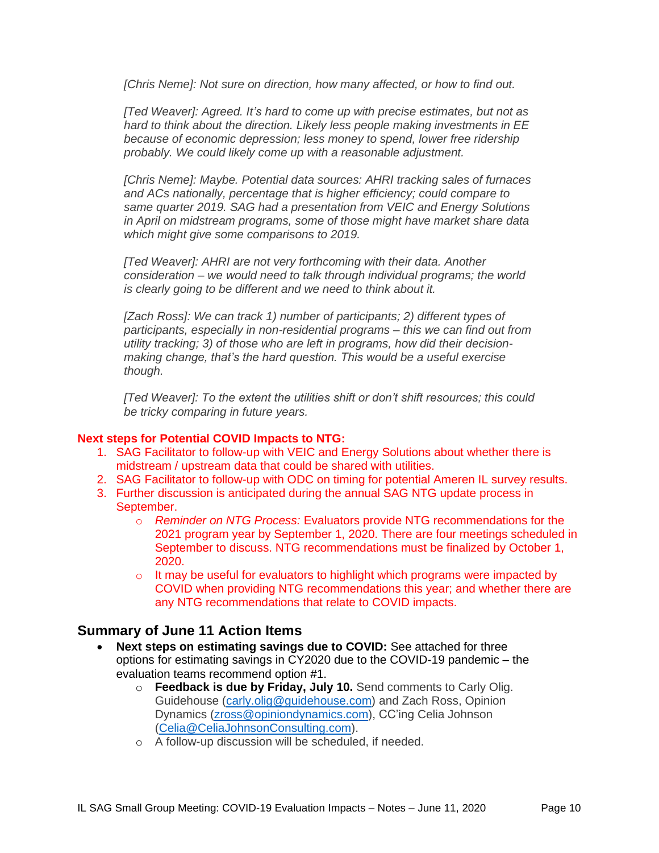*[Chris Neme]: Not sure on direction, how many affected, or how to find out.* 

*[Ted Weaver]: Agreed. It's hard to come up with precise estimates, but not as hard to think about the direction. Likely less people making investments in EE because of economic depression; less money to spend, lower free ridership probably. We could likely come up with a reasonable adjustment.*

*[Chris Neme]: Maybe. Potential data sources: AHRI tracking sales of furnaces and ACs nationally, percentage that is higher efficiency; could compare to same quarter 2019. SAG had a presentation from VEIC and Energy Solutions in April on midstream programs, some of those might have market share data which might give some comparisons to 2019.*

*[Ted Weaver]: AHRI are not very forthcoming with their data. Another consideration – we would need to talk through individual programs; the world is clearly going to be different and we need to think about it.*

*[Zach Ross]: We can track 1) number of participants; 2) different types of participants, especially in non-residential programs – this we can find out from utility tracking; 3) of those who are left in programs, how did their decisionmaking change, that's the hard question. This would be a useful exercise though.*

*[Ted Weaver]: To the extent the utilities shift or don't shift resources; this could be tricky comparing in future years.* 

### **Next steps for Potential COVID Impacts to NTG:**

- 1. SAG Facilitator to follow-up with VEIC and Energy Solutions about whether there is midstream / upstream data that could be shared with utilities.
- 2. SAG Facilitator to follow-up with ODC on timing for potential Ameren IL survey results.
- 3. Further discussion is anticipated during the annual SAG NTG update process in September.
	- o *Reminder on NTG Process:* Evaluators provide NTG recommendations for the 2021 program year by September 1, 2020. There are four meetings scheduled in September to discuss. NTG recommendations must be finalized by October 1, 2020.
	- $\circ$  It may be useful for evaluators to highlight which programs were impacted by COVID when providing NTG recommendations this year; and whether there are any NTG recommendations that relate to COVID impacts.

## **Summary of June 11 Action Items**

- **Next steps on estimating savings due to COVID:** See attached for three options for estimating savings in CY2020 due to the COVID-19 pandemic – the evaluation teams recommend option #1.
	- o **Feedback is due by Friday, July 10.** Send comments to Carly Olig. Guidehouse [\(carly.olig@guidehouse.com\)](mailto:carly.olig@guidehouse.com) and Zach Ross, Opinion Dynamics [\(zross@opiniondynamics.com\)](mailto:zross@opiniondynamics.com), CC'ing Celia Johnson [\(Celia@CeliaJohnsonConsulting.com\)](mailto:Celia@CeliaJohnsonConsulting.com).
	- o A follow-up discussion will be scheduled, if needed.